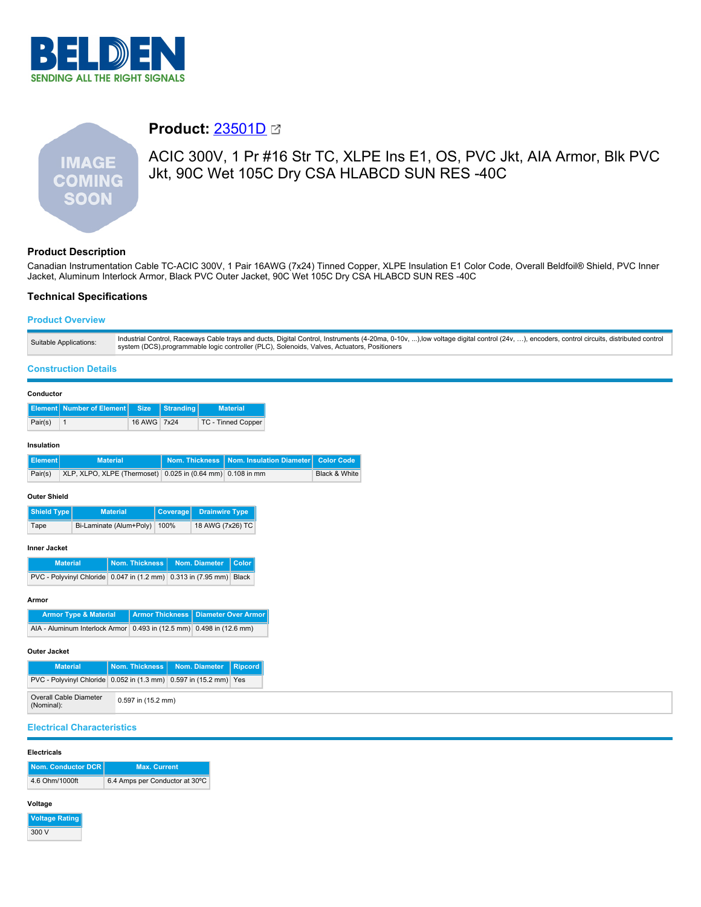

# **IMAGE COMING SOON**

# **Product:** [23501D](https://catalog.belden.com/index.cfm?event=pd&p=PF_23501D&tab=downloads)

ACIC 300V, 1 Pr #16 Str TC, XLPE Ins E1, OS, PVC Jkt, AIA Armor, Blk PVC Jkt, 90C Wet 105C Dry CSA HLABCD SUN RES -40C

# **Product Description**

Canadian Instrumentation Cable TC-ACIC 300V, 1 Pair 16AWG (7x24) Tinned Copper, XLPE Insulation E1 Color Code, Overall Beldfoil® Shield, PVC Inner Jacket, Aluminum Interlock Armor, Black PVC Outer Jacket, 90C Wet 105C Dry CSA HLABCD SUN RES -40C

## **Technical Specifications**

### **Product Overview**

| Industrial Control, Raceways Cable trays and ducts, Digital Control, Instruments (4-20ma, 0-10v, ),low voltage digital control (24v, ), encoders, control circuits, distributed control<br>Suitable Applications:<br>system (DCS),programmable logic controller (PLC), Solenoids, Valves, Actuators, Positioners |
|------------------------------------------------------------------------------------------------------------------------------------------------------------------------------------------------------------------------------------------------------------------------------------------------------------------|
|------------------------------------------------------------------------------------------------------------------------------------------------------------------------------------------------------------------------------------------------------------------------------------------------------------------|

#### **Construction Details**

| Conductor                                                         |                                                    |                 |                                              |                        |                                       |                            |                                 |                          |
|-------------------------------------------------------------------|----------------------------------------------------|-----------------|----------------------------------------------|------------------------|---------------------------------------|----------------------------|---------------------------------|--------------------------|
| <b>Element</b>                                                    | <b>Number of Element</b>                           |                 | <b>Size</b>                                  | <b>Stranding</b>       |                                       | <b>Material</b>            |                                 |                          |
| Pair(s)                                                           | $\mathbf{1}$                                       |                 | 16 AWG                                       | 7x24                   |                                       | <b>TC - Tinned Copper</b>  |                                 |                          |
| Insulation                                                        |                                                    |                 |                                              |                        |                                       |                            |                                 |                          |
| <b>Element</b>                                                    |                                                    | <b>Material</b> |                                              |                        | <b>Nom. Thickness</b>                 |                            | <b>Nom. Insulation Diameter</b> | <b>Color Code</b>        |
| Pair(s)                                                           | XLP, XLPO, XLPE (Thermoset)                        |                 |                                              |                        | $0.025$ in $(0.64$ mm)                | 0.108 in mm                |                                 | <b>Black &amp; White</b> |
| Outer Shield<br><b>Shield Type</b>                                |                                                    | <b>Material</b> |                                              | Coverage               | <b>Drainwire Type</b>                 |                            |                                 |                          |
| Bi-Laminate (Alum+Poly)<br>Tape                                   |                                                    |                 | 100%                                         | 18 AWG (7x26) TC       |                                       |                            |                                 |                          |
| Inner Jacket                                                      | <b>Material</b><br><b>PVC - Polyvinyl Chloride</b> |                 | <b>Nom. Thickness</b><br>$0.047$ in (1.2 mm) |                        | Nom. Diameter<br>$0.313$ in (7.95 mm) | <b>Color</b><br>Black      |                                 |                          |
| Armor                                                             |                                                    |                 |                                              |                        |                                       |                            |                                 |                          |
|                                                                   | <b>Armor Type &amp; Material</b>                   |                 |                                              | <b>Armor Thickness</b> |                                       | <b>Diameter Over Armor</b> |                                 |                          |
| AIA - Aluminum Interlock Armor                                    |                                                    |                 | 0.493 in (12.5 mm) 0.498 in (12.6 mm)        |                        |                                       |                            |                                 |                          |
| Outer Jacket                                                      |                                                    |                 |                                              |                        |                                       |                            |                                 |                          |
|                                                                   | <b>Material</b>                                    |                 | <b>Nom. Thickness</b>                        |                        | Nom. Diameter                         | <b>Ripcord</b>             |                                 |                          |
| PVC - Polyvinyl Chloride<br>$0.052$ in (1.3 mm)                   |                                                    |                 |                                              | 0.597 in (15.2 mm) Yes |                                       |                            |                                 |                          |
| <b>Overall Cable Diameter</b><br>0.597 in (15.2 mm)<br>(Nominal): |                                                    |                 |                                              |                        |                                       |                            |                                 |                          |

#### **Electrical Characteristics**

#### **Electricals**

| Nom. Conductor DCR | <b>Max. Current</b>            |
|--------------------|--------------------------------|
| 4.6 Ohm/1000ft     | 6.4 Amps per Conductor at 30°C |

#### **Voltage**

| <b>Voltage Rating</b> |
|-----------------------|
| 300 V                 |